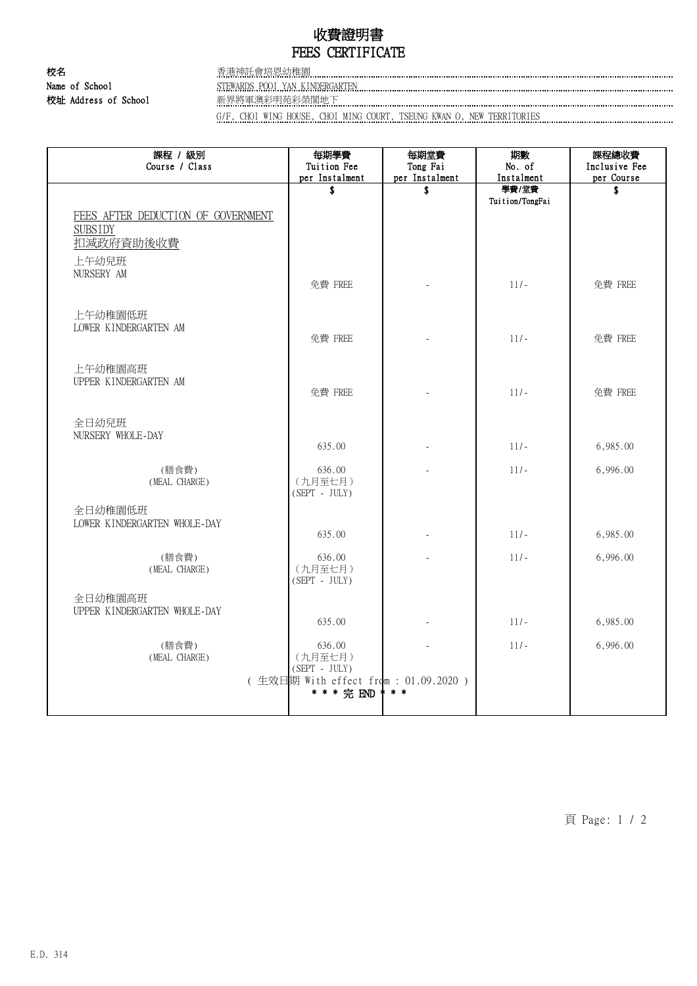## 收費證明書 FEES CERTIFICATE

校名 香港神託會培恩幼稚園 Name of School STEWARDS POOI YAN KINDERGARTEN 校址 Address of School 新界將軍澳彩明苑彩榮閣地下

G/F, CHOI WING HOUSE, CHOI MING COURT, TSEUNG KWAN O, NEW TERRITORIES

| 課程 / 級別<br>Course / Class                                         | 每期學費<br>Tuition Fee<br>per Instalment              | 每期堂費<br>Tong Fai<br>per Instalment | 期數<br>No. of<br>Instalment | 課程總收費<br>Inclusive Fee<br>per Course |
|-------------------------------------------------------------------|----------------------------------------------------|------------------------------------|----------------------------|--------------------------------------|
|                                                                   | \$                                                 | \$                                 | 學費/堂費                      | \$                                   |
| FEES AFTER DEDUCTION OF GOVERNMENT<br><b>SUBSIDY</b><br>扣減政府資助後收費 |                                                    |                                    | Tuition/TongFai            |                                      |
| 上午幼兒班<br>NURSERY AM                                               | 免費 FREE                                            |                                    | $11/-$                     | 免費 FREE                              |
| 上午幼稚園低班<br>LOWER KINDERGARTEN AM                                  | 免費 FREE                                            |                                    | $11/-$                     | 免費 FREE                              |
| 上午幼稚園高班<br>UPPER KINDERGARTEN AM                                  | 免費 FREE                                            |                                    | $11/-$                     | 免費 FREE                              |
| 全日幼兒班<br>NURSERY WHOLE-DAY                                        |                                                    |                                    |                            |                                      |
|                                                                   | 635.00                                             |                                    | $11/-$                     | 6,985.00                             |
| (膳食費)<br>(MEAL CHARGE)                                            | 636.00<br>(九月至七月)<br>$(SEPT - JULY)$               |                                    | $11/-$                     | 6,996.00                             |
| 全日幼稚園低班<br>LOWER KINDERGARTEN WHOLE-DAY                           | 635.00                                             |                                    | $11/-$                     | 6,985.00                             |
| (膳食費)<br>(MEAL CHARGE)                                            | 636.00<br>(九月至七月)<br>$(SEPT - JULY)$               |                                    | $11/-$                     | 6,996.00                             |
| 全日幼稚園高班<br>UPPER KINDERGARTEN WHOLE-DAY                           | 635.00                                             |                                    | $11/-$                     | 6,985.00                             |
| (膳食費)<br>(MEAL CHARGE)                                            | 636.00<br>(九月至七月)<br>$(SEPT - JULY)$               |                                    | $11/-$                     | 6,996.00                             |
|                                                                   | (生效日期 With effect from: 01.09.2020)<br>* * * 完 END | $* *$                              |                            |                                      |

頁 Page: 1 / 2